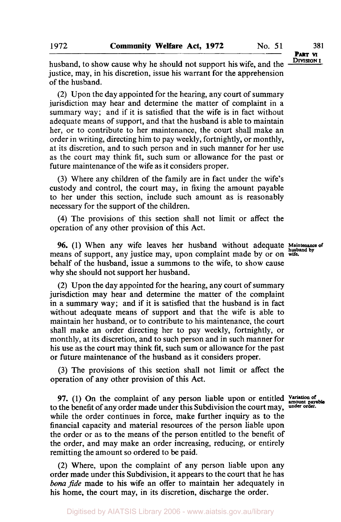**PART VI** 

husband, to show cause why he should not support his wife, and the **DIVISION I** justice, may, in his discretion, issue his warrant for the apprehension of the husband.

(2) Upon the day appointed for the hearing, any court of summary jurisdiction may hear and determine the matter of complaint in a summary way; and if it is satisfied that the wife is in fact without adequate means of support, and that the husband is able to maintain her, or to contribute to her maintenance, the court shall make an order in writing, directing him to pay weekly, fortnightly, **or** monthly, at its discretion, and to such person and in such manner for her use as the court may think fit, such sum or allowance for the past or future maintenance of the wife as it considers proper.

**(3)** Where any children of the family are in fact under the wife's custody and control, the court may, in fixing the amount payable to her under this section, include such amount as is reasonably necessary for the support of the children.

**(4)** The provisions of this section shall not limit or affect the operation of any other provision of this Act.

**96.** (1) When any wife leaves her husband without adequate **Maintenance of husband by**  means of support, any justice may, upon complaint made by or on wife. behalf of the husband, issue a summons to the wife, to show cause why she should not support her husband.

(2) Upon the day appointed for the hearing, any court of summary jurisdiction may hear and determine the matter of the complaint in a summary way; and if it is satisfied that the husband is in fact without adequate means of support and that the wife is able to maintain her husband, or to contribute to his maintenance, the court shall make an order directing her to pay weekly, fortnightly, or monthly, at its discretion, and to such person and in such manner for his use as the court may think fit, such sum or allowance for the past or future maintenance of the husband as it considers proper.

**(3)** The provisions of this section shall not limit or affect the operation of any other provision of this Act.

97. (1) On the complaint of any person liable upon or entitled Variation of any order made under this Subdivision the court may under order. to the benefit of any order made under this Subdivision the court may, **under order.**  while the order continues in force, make further inquiry as to the financial capacity and material resources of the person liable upon the order or as to the means of the person entitled to the benefit of the order, and may make an order increasing, reducing, or entirely remitting the amount so ordered to be paid.

(2) Where, upon the complaint of any person liable upon any order made under this Subdivision, it appears to the court that he has *bona fide* made to **his** wife an offer to maintain her adequately in his home, the court may, in its discretion, discharge the order.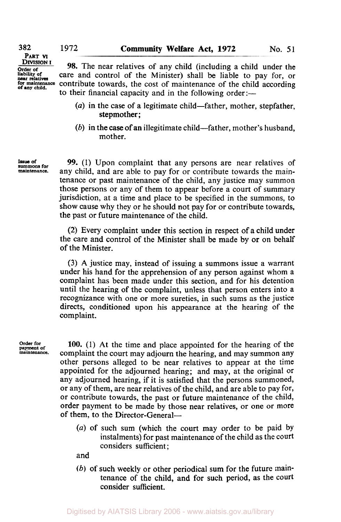**PART VI DIVISION I Order of liability** *of* near **relatives**  for maintenance **of any child.** 

**382** 

**98.** The near relatives of any child (including a child under the care and control of the Minister) shall be liable to pay for, **or**  contribute towards, the cost of maintenance of the child according to their financial capacity and in the following order:—

- *(a)* in the case of a legitimate child-father, mother, stepfather, stepmother;
- (b) in the case of an illegitimate child—father, mother's husband, mother.

**Issue of summons for maintenance.** 

*99.* (1) Upon complaint that any persons are near relatives of any child, and are able to pay for or contribute towards the maintenance or past maintenance of the child, any justice may summon those persons or any of them to appear before a court of summary jurisdiction, at a time and place to be specified in the summons, to show cause why they or he should not pay for or contribute towards, the past or future maintenance of the child.

(2) Every complaint under this section in respect of a child under the care and control of the Minister shall be made by or on behalf of the Minister.

**(3) A** justice may, instead of issuing a summons issue a warrant under his hand for the apprehension of any person against whom a complaint has been made under this section, and for his detention until the hearing of the complaint, unless that person enters into a recognizance with one or more sureties, in such sums as the justice directs, conditioned upon his appearance at the hearing of the complaint.

**Order for payment of maintenance.** 

**100.** (1) At the time and place appointed for the hearing of the complaint the court may adjourn the hearing, and may summon any other persons alleged to be near relatives to appear at the time appointed for the adjourned hearing; and may, at the original or any adjourned hearing, if it is satisfied that the persons summoned, or any of them, are near relatives of the child, and are able to pay for, or contribute towards, the past or future maintenance of the child, order payment to be made by those near relatives, or one or more of them, to the Director-General-

*(a)* of such sum (which the court may order to be paid by instalments) for past maintenance of the child as the court considers sufficient ;

and

*(b)* **of** such weekly or other periodical sum for the future maintenance of the child, and for such period, as the court consider sufficient.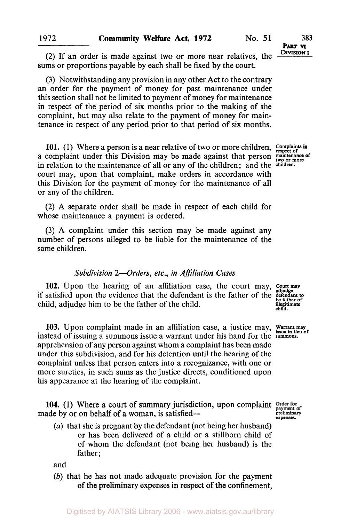**PART VI** 

(2) If an order is made against two or more near relatives, the sums or proportions payable by each shall be fixed by the court.

**(3)** Notwithstanding any provision in any other Act to the contrary an order for the payment of money for past maintenance under **this** section shall not be limited to payment of money for maintenance in respect of the period of **six** months prior to the making of the complaint, but may also relate to the payment of money for maintenance in respect of any period prior to that period of six months.

**101.** (1) Where a person is a near relative of two or more children, Complaints in a complaint under this Division may be made against that person **maintenance** of in relation to the maintenance **of** all or any of the children; and the children. court may, upon that complaint, make orders in accordance with this Division for the payment of money for the maintenance of all or any of the children.

**(2) A** separate order shall be made in respect of each child for whose maintenance a payment is ordered.

**(3) A** complaint under this section may be made against any number of persons alleged to be liable for the maintenance of the same children.

## *Subdivision 2-Orders, etc., in Affiliation Cases*

**102.** Upon the hearing of an affiliation case, the court may, Court may if satisfied upon the evidence that the defendant is the father of the defendant to child, adjudge him to be the father of the child.

**103.** Upon complaint made in an affiliation case, a justice may, Warrant may instead of issuing a summons issue a warrant under his hand for the **summons.**  apprehension of any person against whom a complaint has been made under this subdivision, and for his detention until the hearing of the complaint unless that person enters into a recognizance, with one or more sureties, in such sums as the justice directs, conditioned upon his appearance at the hearing of the complaint.

**104.** (1) Where a court of summary jurisdiction, upon complaint made by or on behalf of a woman, is satisfied---

*(a)* that she is pregnant by the defendant (not being her husband) or has been delivered of a child or a stillborn child of of whom the defendant (not being her husband) is the father:

and

*(b)* that he has not made adequate provision for the payment of the preliminary expenses in respect **of** the confinement,

wer of<br> **child.**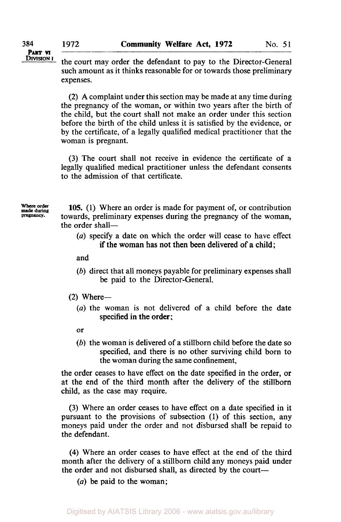**PART VI DIVISION I** 

the court may order the defendant to pay to the Director-General such amount as it thinks reasonable for or towards those preliminary expenses.

(2) A complaint under this section may be made at any time during the pregnancy of the woman, or within two years after the birth of the child, but the court shall not make an order under this section before the birth of the child unless it is satisfied by the evidence, or by the certificate, of a legally qualified medical practitioner that the woman is pregnant.

(3) The court shall not receive in evidence the certificate of a legally qualifed medical practitioner unless the defendant consents to the admission of that certificate.

**Where order made during pregnancy.** 

**105.** (1) Where an order is made for payment of, or contribution towards, preliminary expenses during the pregnancy of the woman, the order shall-

## (a) specify a date on which the order will cease to have effect if the woman has not then been delivered of a child;

and

- (b) direct that all moneys payable for preliminary expenses shall be paid to the Director-General.
- $(2)$  Where-
	- *(a)* the woman is not delivered of a child before the date specified in the order;
	- or
	- *(b)* the woman is delivered of a stillborn child before the date so specified, and there is no other surviving child born to the woman during the same confinement,

the order ceases to have effect on the date specified in the order, or at the end of the third month after the delivery of the stillborn child, as the case may require.

(3) Where an order ceases to have effect on a date specified in it pursuant to the provisions of subsection (1) of this section, any moneys paid under the order and not disbursed shall be repaid to the defendant.

**(4)** Where an order ceases to have effect at the end of the third month after the delivery of a stillborn child any moneys paid under the order and not disbursed shall, as directed by the court-

*(a)* be paid to the woman;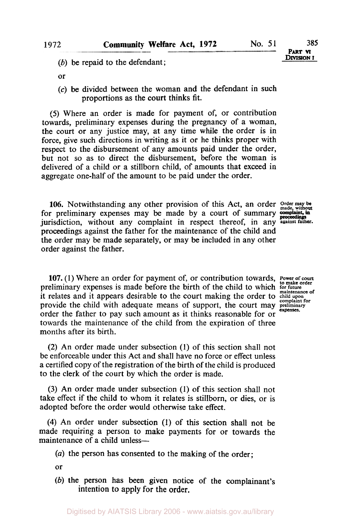(b) be repaid to the defendant;

- or
- *(c)* be divided between the woman and the defendant in such proportions as the court thinks fit.

*(5)* Where an order is made for payment of, or contribution towards, preliminary expenses during the pregnancy of a woman, the court or any justice may, at any time while the order is in force, give such directions in writing as it or he thinks proper with respect to the disbursement of any amounts paid under the order, but not so as to direct the disbursement, before the woman **is**  delivered of a child or a stillborn child, of amounts that exceed in aggregate one-half of the amount to be paid under the order.

**106.** Notwithstanding any other provision of this Act, an order *Order may be made, without*  for preliminary expenses may be made by a court of summary complaint, in jurisdiction, without any complaint in respect thereof, in any against father. proceedings against the father for the maintenance of the child and the order may be made separately, or may be included in any other order against the father.

**PART VI** 

107. (1) Where an order for payment of, or contribution towards, Power of court preliminary expenses is made before the birth of the child to which **for future** it relates and it appears desirable to the court making the order to child upon provide the child with adequate means of support, the court may **preliminary expenses.**  order the father to pay such amount as it thinks reasonable for or towards the maintenance of the child from the expiration of three months after its birth.

**(2) An** order made under subsection **(1)** of this section shall not be enforceable under this Act and shall have no force or effect unless a certified copy of the registration of the birth of the child is produced to the clerk of the court by which the order is made.

**(3)** An order made under subsection **(1)** of this section shall not take effect if the child to whom it relates is stillborn, or dies, **or** is adopted before the order would otherwise take effect.

**(4)** An order under subsection **(1)** of this section shall not be made requiring a person to make payments for or towards the maintenance of a child unless-

*(a)* the person has consented to the making of the order;

or

*(b)* the person has been given notice of the complainant's intention to apply for the order.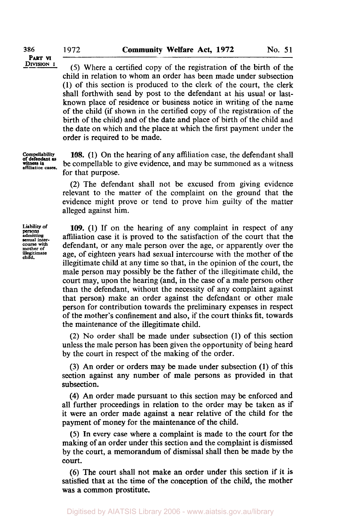(5) Where a certified copy of the registration of the birth of the child in relation to whom an order has been made under subsection (1) of this section is produced to the clerk of the court, the clerk shall forthwith send by post to the defendant at his usual or lastknown place of residence or business notice in writing of the name of the child (if shown in the certified copy of the registration of the birth of the child) and of the date and place of birth of the child and the date on which and the place at which the first payment under the order is required to be made.

Compellability **of defendant as 108.** (1) On the hearing of any affiliation case, the defendant shall be compellable to give evidence, and may be summoned as a witness for that purpose.

> **(2)** The defendant shall not be excused from giving evidence relevant to the matter of the complaint on the ground that the evidence might prove or tend to prove him guilty of the matter alleged against him.

**Liability of sexual inter- course** with **mother of illegitimate child. admitting**<br>sexual inter-

witness **in affiliation** *cased.* 

**109.** (1) If on the hearing of any complaint in respect of any affiliation case it is proved to the satisfaction of the court that the defendant, or any male person over the age, or apparently over the age, of eighteen years had sexual intercourse with the mother of the illegitimate child at any time *so* that, in the opinion of the court, the male person may possibly be the father of the illegitimate child, the court may, upon the hearing (and, in the case of **a** male person other than the defendant, without the necessity of any complaint against that person) make an order against the defendant or other male person for contribution towards the preliminary expenses in respect of the mother's confinement and also, if the court thinks fit, towards the maintenance of the illegitimate child.

**(2)** No order shall be made under subsection (1) of this section unless the male person has been given the opportunity of being heard by the court in respect of the making of the order.

**(3)** An order or orders may be made under subsection (1) of this section against any number **of** male persons as provided in that subsection.

**(4)** An order made pursuant to **this** section may be enforced and all further proceedings in relation to the order may be taken as if it were an order made against a near relative of the child for the payment of money for the maintenance of the child.

*(5)* In every case where a complaint is made to the court for the making of an order under this section and the complaint is dismissed by the court, a memorandum of dismissal shall then be made by the court.

*(6)* The court shall not make an order under this section if it **is**  satisfied that at the time of the conception of the child, the mother was a common prostitute.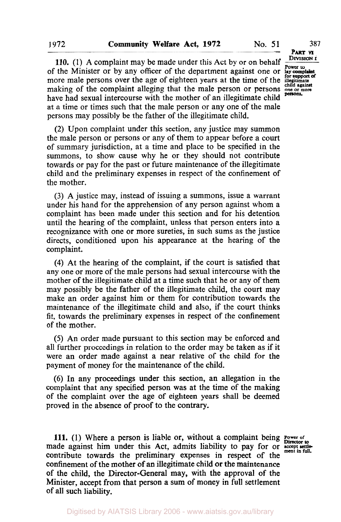**PART VI DIVISION I Power to** 

persons.

of the Minister or by any officer of the department against one or **lay complaint**  more male persons over the age of eighteen years at the time of the integration making of the complaint alleging that the male person or persons one or more have had sexual intercourse with the mother of an illegitimate child at a time or times such that the male person or any one of the male persons may possibly be the father of the illegitimate child. **110.** (1) **A** complaint may be made under this Act by or on behalf

(2) Upon complaint under this section, any justice may summon the male person or persons or any of them to appear before a court of summary jurisdiction, at a time and place to be specified in the summons, to show cause why he or they should not contribute towards or pay for the past or future maintenance of the illegitimate child and the preliminary expenses in respect of the confinement of the mother.

**(3) A** justice may, instead of issuing a summons, issue a warrant under his hand for the apprehension of any person against whom a complaint has been made under this section and for his detention until the hearing of the complaint, unless that person enters into a recognizance with one or more sureties, in such sums as the justice directs, conditioned upon his appearance at the hearing of the complaint.

**(4)** At the hearing of the complaint, if the court is satisfied that any one or more of the male persons had sexual intercourse with the mother of the illegitimate child at a time such that he or any of them may possibly be the father of the illegitimate child, the court may make an order against him or them for contribution towards the maintenance of the illegitimate child and also, if the court thinks fit, towards the preliminary expenses in respect of the confinement of the mother.

(5) An order made pursuant to this section may be enforced and all further proceedings in relation to the order may be taken as if it were an order made against a near relative of the child for the payment of money for the maintenance of the child.

*(6)* **In** any proceedings under this section, an allegation in the complaint that any specified person was at the time of the making of the complaint over the age of eighteen years shall be deemed proved in the absence of proof to the contrary.

**111. (1)** Where a person is liable or, without a complaint being **Power of**  made against him under this Act, admits liability to pay for or accept settlement in contribute towards the preliminary expenses in **property** of  $A<sup>t</sup>$  ment in full. contribute towards the preliminary expenses in respect of the confinement **of** the mother of an illegitimate child or the maintenance of the child, the Director-General may, with the approval of the Minister, accept from that person a sum of money in full settlement of all such liability.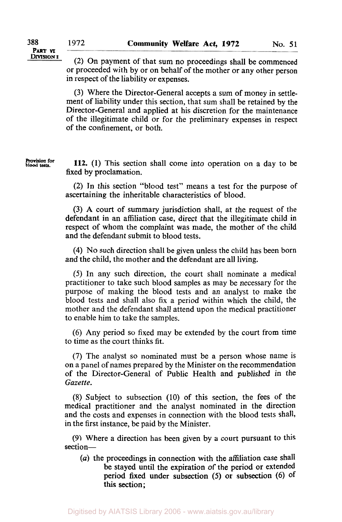## **PART VI DIVISION I**

(2) On payment of that sum no proceedings shall be commenced or proceeded with by or on behalf of the mother or any other person in respect of the liability or expenses.

**(3)** Where the Director-General accepts a sum of money in settlement of liability under this section, that sum shall be retained by the Director-General and applied at his discretion for the maintenance of the illegitimate child or for the preliminary expenses in respect of the confinement, or both.

**Provision for blood** tests.

**112. (1)** This section shall come into operation on a day to be fixed by proclamation.

**(2)** In this section "blood test" means a test for the purpose of ascertaining the inheritable characteristics of blood.

**(3) A** court of summary jurisdiction shall, at the request of the defendant in an affiliation case, direct that the illegitimate child in respect of whom the complaint was made, the mother of the child and the defendant submit to blood tests.

**(4)** No such direction shall be given unless the child has been born and the child, the mother and the defendant are all living.

*(5)* In any such direction, the court shall nominate a medical practitioner to take such blood samples as may be necessary for the purpose of making the blood tests and an analyst to make the blood tests and shall also fix a period within which the child, the mother and the defendant shall attend upon the medical practitioner to enable him to take the samples.

(6) Any period so fixed may be extended by the court from time to time as the court thinks fit.

**(7)** The analyst so nominated must be a person whose name is on a panel of names prepared by the Minister on the recommendation of the Director-General of Public Health and published in the *Gazette.* 

**(8)** Subject to subsection (10) of this section, the fees of the medical practitioner and the analyst nominated in the direction and the costs and expenses in connection with the blood tests shall, in the first instance, be paid by the Minister.

(9) Where a direction has been given by a court pursuant to this section-

*(a)* the proceedings in connection with the affiliation case shall be stayed until the expiration of the period **or** extended period fixed under subsection *(5)* or subsection *(6)* **Of**  this section;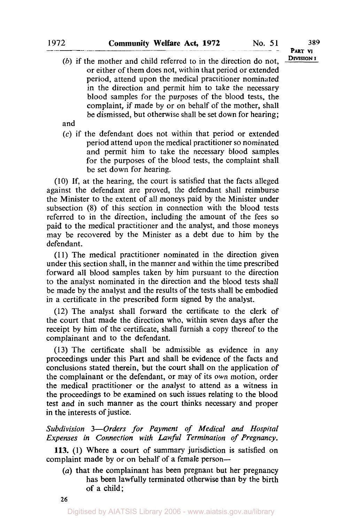(b) if the mother and child referred to in the direction do not. **DIVISION 1** or either of them does not, within that period or extended period, attend upon the medical practitioner nominated in the direction and permit him to take the necessary blood samples for the purposes of the blood tests, the complaint, if made by or on behalf of the mother, shall be dismissed, but otherwise shall be set down for hearing;

and

*(c)* if the defendant does not within that period or extended period attend upon the medical practitioner so nominated and permit him to take the necessary blood samples for the purposes of the blood tests, the complaint shall be set down for hearing.

(10) If, at the hearing, the court is satisfied that the facts alleged against the defendant are proved, the defendant shall reimburse the Minister to the extent of all moneys paid by the Minister under subsection **(8)** of this section in connection with the blood tests referred to in the direction, including the amount of the fees *so*  paid to the medical practitioner and the analyst, and those moneys may be recovered by the Minister as a debt due to him by the defendant.

**(1 1)** The medical practitioner nominated in the direction given under this section shall, in the manner and within the time prescribed forward all blood samples taken by him pursuant to the direction to the analyst nominated in the direction and the blood tests shall be made by the analyst and the results of the tests shall be embodied in a certificate in the prescribed form signed by the analyst.

(12) The analyst shall forward the certificate to the clerk of the court that made the direction who, within seven days after the receipt by him of the certificate, shall furnish a copy thereof to the complainant and to the defendant.

**(13)** The certificate shall be admissible as evidence in any proceedings under this Part and shall be evidence of the facts and conclusions stated therein, but the court shall on the application **of**  the complainant or the defendant, or may of its own motion, order the medical practitioner or the analyst to attend as a witness in the proceedings to be examined on such issues relating to the blood test and in such manner **as** the court thinks necessary and proper in the interests of justice.

*Subdivision 3-Orders for Payment of Medical and Hospital Expenses in Connection with Lawful Termination of Pregnancy.* 

**113.** (1) Where a court of summary jurisdiction is satisfied on complaint made by or on behalf of a female person--

*(a)* that the complainant has been pregnant but her pregnancy has been lawfully terminated otherwise than by the birth of a child;